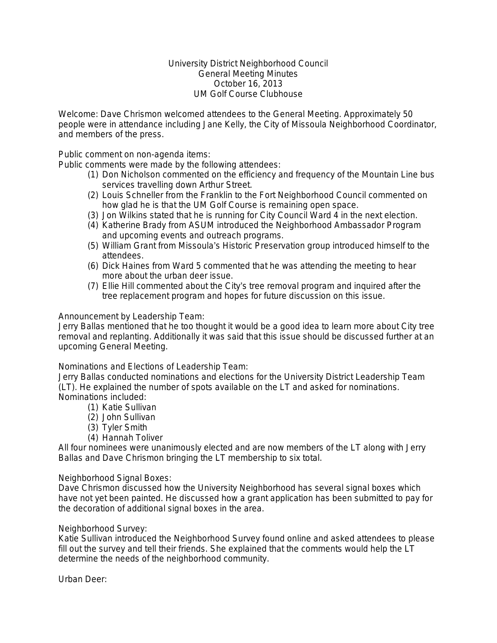## University District Neighborhood Council General Meeting Minutes October 16, 2013 UM Golf Course Clubhouse

Welcome: Dave Chrismon welcomed attendees to the General Meeting. Approximately 50 people were in attendance including Jane Kelly, the City of Missoula Neighborhood Coordinator, and members of the press.

Public comment on non-agenda items:

Public comments were made by the following attendees:

- (1) Don Nicholson commented on the efficiency and frequency of the Mountain Line bus services travelling down Arthur Street.
- (2) Louis Schneller from the Franklin to the Fort Neighborhood Council commented on how glad he is that the UM Golf Course is remaining open space.
- (3) Jon Wilkins stated that he is running for City Council Ward 4 in the next election.
- (4) Katherine Brady from ASUM introduced the Neighborhood Ambassador Program and upcoming events and outreach programs.
- (5) William Grant from Missoula's Historic Preservation group introduced himself to the attendees.
- (6) Dick Haines from Ward 5 commented that he was attending the meeting to hear more about the urban deer issue.
- (7) Ellie Hill commented about the City's tree removal program and inquired after the tree replacement program and hopes for future discussion on this issue.

# Announcement by Leadership Team:

Jerry Ballas mentioned that he too thought it would be a good idea to learn more about City tree removal and replanting. Additionally it was said that this issue should be discussed further at an upcoming General Meeting.

## Nominations and Elections of Leadership Team:

Jerry Ballas conducted nominations and elections for the University District Leadership Team (LT). He explained the number of spots available on the LT and asked for nominations. Nominations included:

- (1) Katie Sullivan
- (2) John Sullivan
- (3) Tyler Smith
- (4) Hannah Toliver

All four nominees were unanimously elected and are now members of the LT along with Jerry Ballas and Dave Chrismon bringing the LT membership to six total.

## Neighborhood Signal Boxes:

Dave Chrismon discussed how the University Neighborhood has several signal boxes which have not yet been painted. He discussed how a grant application has been submitted to pay for the decoration of additional signal boxes in the area.

## Neighborhood Survey:

Katie Sullivan introduced the Neighborhood Survey found online and asked attendees to please fill out the survey and tell their friends. She explained that the comments would help the LT determine the needs of the neighborhood community.

Urban Deer: